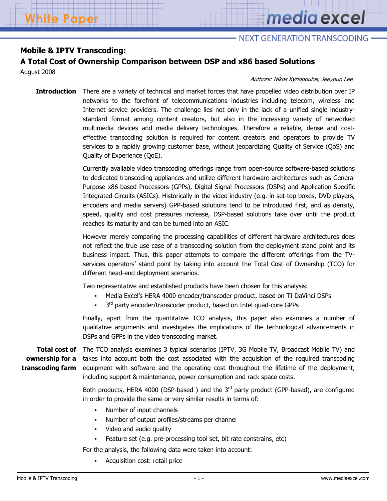# media excel

# NEXT GENERATION TRANSCODING -

# **Mobile & IPTV Transcoding:**

# **A Total Cost of Ownership Comparison between DSP and x86 based Solutions**

August 2008

### Authors: Nikos Kyriopoulos, Jeeyoun Lee

**Introduction** There are a variety of technical and market forces that have propelled video distribution over IP networks to the forefront of telecommunications industries including telecom, wireless and Internet service providers. The challenge lies not only in the lack of a unified single industrystandard format among content creators, but also in the increasing variety of networked multimedia devices and media delivery technologies. Therefore a reliable, dense and costeffective transcoding solution is required for content creators and operators to provide TV services to a rapidly growing customer base, without jeopardizing Quality of Service (QoS) and Quality of Experience (QoE).

> Currently available video transcoding offerings range from open-source software-based solutions to dedicated transcoding appliances and utilize different hardware architectures such as General Purpose x86-based Processors (GPPs), Digital Signal Processors (DSPs) and Application-Specific Integrated Circuits (ASICs). Historically in the video industry (e.g. in set-top boxes, DVD players, encoders and media servers) GPP-based solutions tend to be introduced first, and as density, speed, quality and cost pressures increase, DSP-based solutions take over until the product reaches its maturity and can be turned into an ASIC.

> However merely comparing the processing capabilities of different hardware architectures does not reflect the true use case of a transcoding solution from the deployment stand point and its business impact. Thus, this paper attempts to compare the different offerings from the TVservices operators' stand point by taking into account the Total Cost of Ownership (TCO) for different head-end deployment scenarios.

Two representative and established products have been chosen for this analysis:

- Media Excel's HERA 4000 encoder/transcoder product, based on TI DaVinci DSPs
- $\blacksquare$  3<sup>rd</sup> party encoder/transcoder product, based on Intel quad-core GPPs

Finally, apart from the quantitative TCO analysis, this paper also examines a number of qualitative arguments and investigates the implications of the technological advancements in DSPs and GPPs in the video transcoding market.

**ownership for a transcoding farm**

**Total cost of**  The TCO analysis examines 3 typical scenarios (IPTV, 3G Mobile TV, Broadcast Mobile TV) and takes into account both the cost associated with the acquisition of the required transcoding equipment with software and the operating cost throughout the lifetime of the deployment, including support & maintenance, power consumption and rack space costs.

> Both products, HERA 4000 (DSP-based) and the  $3<sup>rd</sup>$  party product (GPP-based), are configured in order to provide the same or very similar results in terms of:

- Number of input channels
- Number of output profiles/streams per channel
- Video and audio quality
- Feature set (e.g. pre-processing tool set, bit rate constrains, etc)

For the analysis, the following data were taken into account:

Acquisition cost: retail price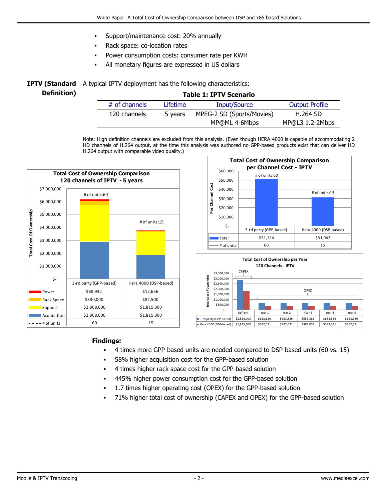- Support/maintenance cost: 20% annually
- Rack space: co-location rates
- Power consumption costs: consumer rate per KWH
- All monetary figures are expressed in US dollars

|             | <b>IPTV (Standard</b> A typical IPTV deployment has the following characteristics: |                               |  |  |
|-------------|------------------------------------------------------------------------------------|-------------------------------|--|--|
| Definition) |                                                                                    | <b>Table 1: IPTV Scenario</b> |  |  |
|             | $#$ of channole                                                                    | Inuit/Couira<br>l ifatima.    |  |  |

| $#$ of channels | Lifetime | <b>Input/Source</b>       | <b>Output Profile</b> |  |
|-----------------|----------|---------------------------|-----------------------|--|
| 120 channels    | 5 years  | MPEG-2 SD (Sports/Movies) | <b>H.264 SD</b>       |  |
|                 |          | MP@ML 4-6Mbps             | MP@L3 1.2-2Mbps       |  |
|                 |          |                           |                       |  |

Note: High definition channels are excluded from this analysis. (Even though HERA 4000 is capable of accommodating 2 HD channels of H.264 output, at the time this analysis was authored no GPP-based products exist that can deliver HD H.264 output with comparable video quality.)







### **Findings:**

- 4 times more GPP-based units are needed compared to DSP-based units (60 vs. 15)
- 58% higher acquisition cost for the GPP-based solution
- 4 times higher rack space cost for the GPP-based solution
- 445% higher power consumption cost for the GPP-based solution
- 1.7 times higher operating cost (OPEX) for the GPP-based solution
- 71% higher total cost of ownership (CAPEX and OPEX) for the GPP-based solution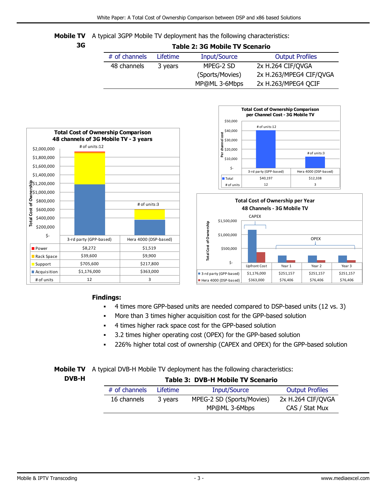**Mobile TV** A typical 3GPP Mobile TV deployment has the following characteristics:

## **Table 2: 3G Mobile TV Scenario**

| # of channels | Lifetime | Input/Source    | <b>Output Profiles</b>  |
|---------------|----------|-----------------|-------------------------|
| 48 channels   | 3 years  | MPEG-2 SD       | 2x H.264 CIF/QVGA       |
|               |          | (Sports/Movies) | 2x H.263/MPEG4 CIF/QVGA |
|               |          | MP@ML 3-6Mbps   | 2x H.263/MPEG4 QCIF     |







# **Findings:**

- 4 times more GPP-based units are needed compared to DSP-based units (12 vs. 3)
- More than 3 times higher acquisition cost for the GPP-based solution
- 4 times higher rack space cost for the GPP-based solution
- 3.2 times higher operating cost (OPEX) for the GPP-based solution
- 226% higher total cost of ownership (CAPEX and OPEX) for the GPP-based solution

# **Mobile TV** A typical DVB-H Mobile TV deployment has the following characteristics:

# **Table 3: DVB-H Mobile TV Scenario**

| $#$ of channels | <b>Lifetime</b> | Input/Source              | <b>Output Profiles</b> |
|-----------------|-----------------|---------------------------|------------------------|
| 16 channels     | 3 years         | MPEG-2 SD (Sports/Movies) | 2x H.264 CIF/QVGA      |
|                 |                 | MP@ML 3-6Mbps             | CAS / Stat Mux         |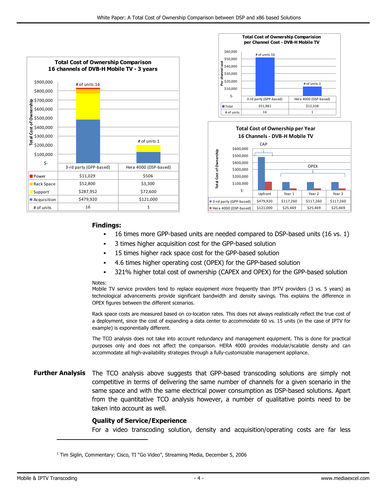





### **Findings:**

- 16 times more GPP-based units are needed compared to DSP-based units (16 vs. 1)
- 3 times higher acquisition cost for the GPP-based solution
- 15 times higher rack space cost for the GPP-based solution
- 4.6 times higher operating cost (OPEX) for the GPP-based solution
- 321% higher total cost of ownership (CAPEX and OPEX) for the GPP-based solution

#### Notes:

Mobile TV service providers tend to replace equipment more frequently than IPTV providers (3 vs. 5 years) as technological advancements provide significant bandwidth and density savings. This explains the difference in OPEX figures between the different scenarios.

Rack space costs are measured based on co-location rates. This does not always realistically reflect the true cost of a deployment, since the cost of expanding a data center to accommodate 60 vs. 15 units (in the case of IPTV for example) is exponentially different.

The TCO analysis does not take into account redundancy and management equipment. This is done for practical purposes only and does not affect the comparison. HERA 4000 provides modular/scalable density and can accommodate all high-availability strategies through a fully-customizable management appliance.

# **Further Analysis** The TCO analysis above suggests that GPP-based transcoding solutions are simply not competitive in terms of delivering the same number of channels for a given scenario in the same space and with the same electrical power consumption as DSP-based solutions. Apart from the quantitative TCO analysis however, a number of qualitative points need to be taken into account as well.

### **Quality of Service/Experience**

For a video transcoding solution, density and acquisition/operating costs are far less

 $\overline{a}$ 

<sup>&</sup>lt;sup>1</sup> Tim Siglin, Commentary: Cisco, TI "Go Video", Streaming Media, December 5, 2006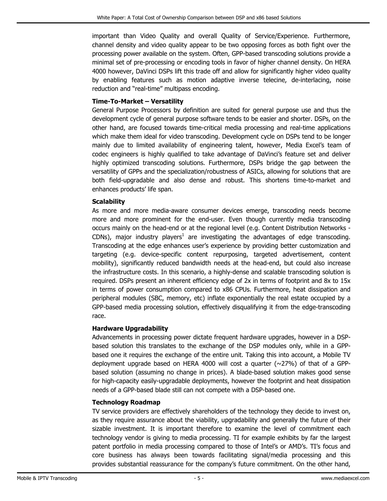important than Video Quality and overall Quality of Service/Experience. Furthermore, channel density and video quality appear to be two opposing forces as both fight over the processing power available on the system. Often, GPP-based transcoding solutions provide a minimal set of pre-processing or encoding tools in favor of higher channel density. On HERA 4000 however, DaVinci DSPs lift this trade off and allow for significantly higher video quality by enabling features such as motion adaptive inverse telecine, de-interlacing, noise reduction and "real-time" multipass encoding.

# **Time-To-Market – Versatility**

General Purpose Processors by definition are suited for general purpose use and thus the development cycle of general purpose software tends to be easier and shorter. DSPs, on the other hand, are focused towards time-critical media processing and real-time applications which make them ideal for video transcoding. Development cycle on DSPs tend to be longer mainly due to limited availability of engineering talent, however, Media Excel's team of codec engineers is highly qualified to take advantage of DaVinci's feature set and deliver highly optimized transcoding solutions. Furthermore, DSPs bridge the gap between the versatility of GPPs and the specialization/robustness of ASICs, allowing for solutions that are both field-upgradable and also dense and robust. This shortens time-to-market and enhances products' life span.

# **Scalability**

As more and more media-aware consumer devices emerge, transcoding needs become more and more prominent for the end-user. Even though currently media transcoding occurs mainly on the head-end or at the regional level (e.g. Content Distribution Networks - CDNs), major industry players<sup>1</sup> are investigating the advantages of edge transcoding. Transcoding at the edge enhances user's experience by providing better customization and targeting (e.g. device-specific content repurposing, targeted advertisement, content mobility), significantly reduced bandwidth needs at the head-end, but could also increase the infrastructure costs. In this scenario, a highly-dense and scalable transcoding solution is required. DSPs present an inherent efficiency edge of 2x in terms of footprint and 8x to 15x in terms of power consumption compared to x86 CPUs. Furthermore, heat dissipation and peripheral modules (SBC, memory, etc) inflate exponentially the real estate occupied by a GPP-based media processing solution, effectively disqualifying it from the edge-transcoding race.

# **Hardware Upgradability**

Advancements in processing power dictate frequent hardware upgrades, however in a DSPbased solution this translates to the exchange of the DSP modules only, while in a GPPbased one it requires the exchange of the entire unit. Taking this into account, a Mobile TV deployment upgrade based on HERA 4000 will cost a quarter  $(\sim$ 27%) of that of a GPPbased solution (assuming no change in prices). A blade-based solution makes good sense for high-capacity easily-upgradable deployments, however the footprint and heat dissipation needs of a GPP-based blade still can not compete with a DSP-based one.

# **Technology Roadmap**

TV service providers are effectively shareholders of the technology they decide to invest on, as they require assurance about the viability, upgradability and generally the future of their sizable investment. It is important therefore to examine the level of commitment each technology vendor is giving to media processing. TI for example exhibits by far the largest patent portfolio in media processing compared to those of Intel's or AMD's. TI's focus and core business has always been towards facilitating signal/media processing and this provides substantial reassurance for the company's future commitment. On the other hand,